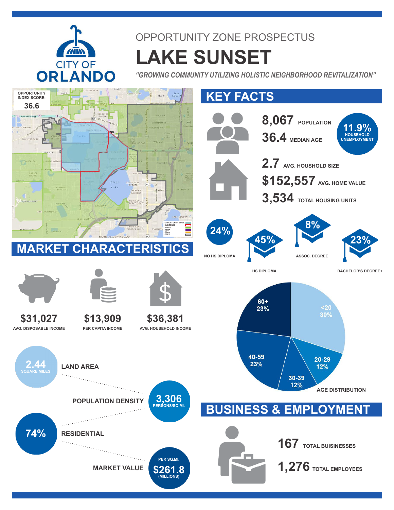

## OPPORTUNITY ZONE PROSPECTUS **LAKE SUNSET**

*"GROWING COMMUNITY UTILIZING HOLISTIC NEIGHBORHOOD REVITALIZATION"*